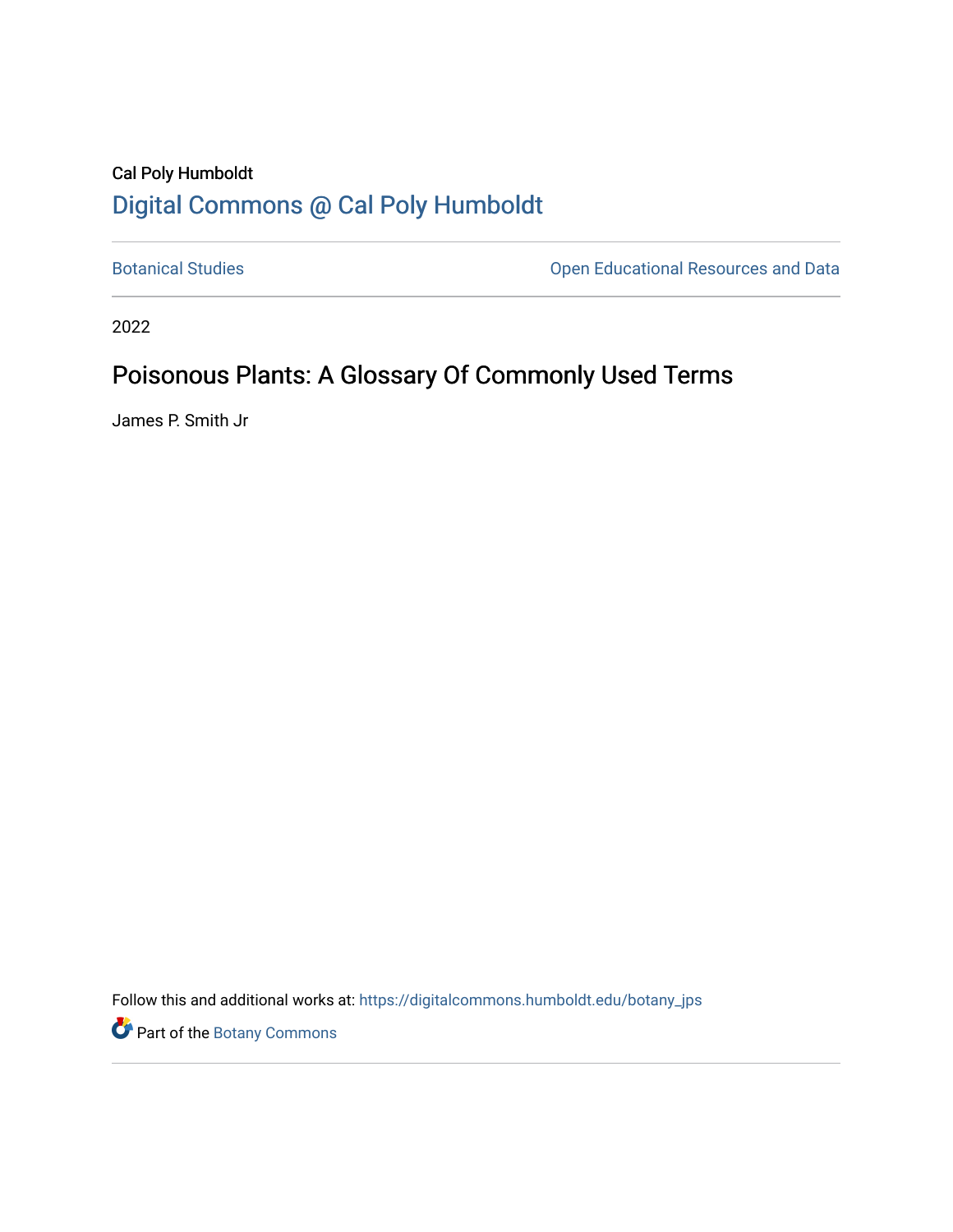## Cal Poly Humboldt [Digital Commons @ Cal Poly Humboldt](https://digitalcommons.humboldt.edu/)

[Botanical Studies](https://digitalcommons.humboldt.edu/botany_jps) **Botanical Studies Open Educational Resources and Data** 

2022

## Poisonous Plants: A Glossary Of Commonly Used Terms

James P. Smith Jr

Follow this and additional works at: [https://digitalcommons.humboldt.edu/botany\\_jps](https://digitalcommons.humboldt.edu/botany_jps?utm_source=digitalcommons.humboldt.edu%2Fbotany_jps%2F110&utm_medium=PDF&utm_campaign=PDFCoverPages) 

Part of the [Botany Commons](http://network.bepress.com/hgg/discipline/104?utm_source=digitalcommons.humboldt.edu%2Fbotany_jps%2F110&utm_medium=PDF&utm_campaign=PDFCoverPages)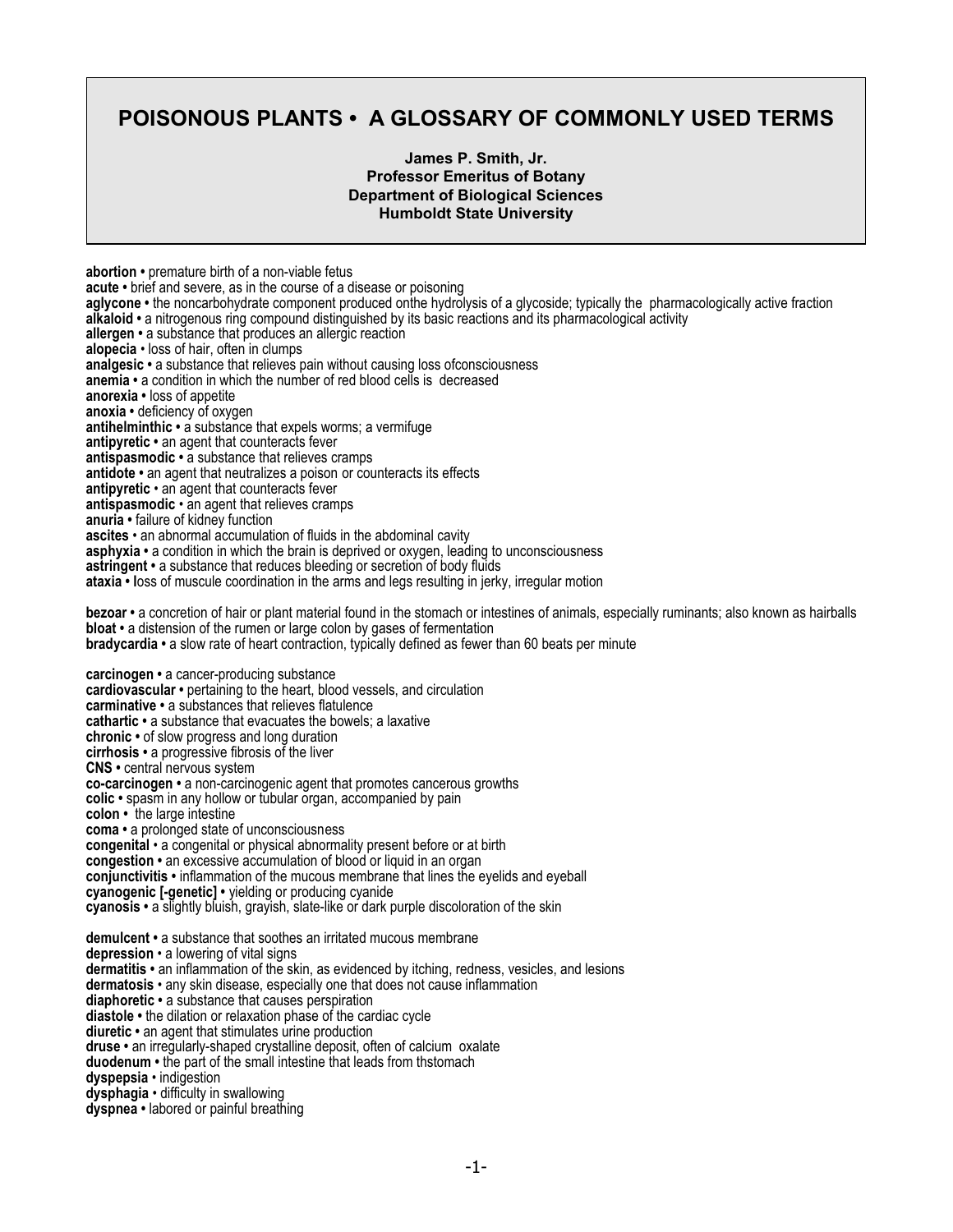## **POISONOUS PLANTS • A GLOSSARY OF COMMONLY USED TERMS**

## **James P. Smith, Jr. Professor Emeritus of Botany Department of Biological Sciences Humboldt State University**

**abortion •** premature birth of a non-viable fetus **acute •** brief and severe, as in the course of a disease or poisoning **aglycone •** the noncarbohydrate component produced onthe hydrolysis of a glycoside; typically the pharmacologically active fraction **alkaloid •** a nitrogenous ring compound distinguished by its basic reactions and its pharmacological activity **allergen •** a substance that produces an allergic reaction **alopecia** • loss of hair, often in clumps **analgesic •** a substance that relieves pain without causing loss ofconsciousness **anemia •** a condition in which the number of red blood cells is decreased **anorexia •** loss of appetite **anoxia •** deficiency of oxygen **antihelminthic •** a substance that expels worms; a vermifuge **antipyretic •** an agent that counteracts fever **antispasmodic •** a substance that relieves cramps **antidote •** an agent that neutralizes a poison or counteracts its effects **antipyretic** • an agent that counteracts fever **antispasmodic** • an agent that relieves cramps **anuria •** failure of kidney function **ascites** • an abnormal accumulation of fluids in the abdominal cavity **asphyxia •** a condition in which the brain is deprived or oxygen, leading to unconsciousness **astringent •** a substance that reduces bleeding or secretion of body fluids **ataxia • l**oss of muscule coordination in the arms and legs resulting in jerky, irregular motion **bezoar •** a concretion of hair or plant material found in the stomach or intestines of animals, especially ruminants; also known as hairballs **bloat** • a distension of the rumen or large colon by gases of fermentation **bradycardia •** a slow rate of heart contraction, typically defined as fewer than 60 beats per minute **carcinogen •** a cancer-producing substance **cardiovascular •** pertaining to the heart, blood vessels, and circulation **carminative •** a substances that relieves flatulence **cathartic •** a substance that evacuates the bowels; a laxative **chronic •** of slow progress and long duration **cirrhosis •** a progressive fibrosis of the liver **CNS •** central nervous system **co-carcinogen •** a non-carcinogenic agent that promotes cancerous growths **colic •** spasm in any hollow or tubular organ, accompanied by pain **colon •** the large intestine **coma •** a prolonged state of unconsciousness **congenital** • a congenital or physical abnormality present before or at birth **congestion •** an excessive accumulation of blood or liquid in an organ **conjunctivitis •** inflammation of the mucous membrane that lines the eyelids and eyeball **cyanogenic [-genetic] •** yielding or producing cyanide **cyanosis •** a slightly bluish, grayish, slate-like or dark purple discoloration of the skin **demulcent •** a substance that soothes an irritated mucous membrane **depression** • a lowering of vital signs **dermatitis •** an inflammation of the skin, as evidenced by itching, redness, vesicles, and lesions **dermatosis** • any skin disease, especially one that does not cause inflammation **diaphoretic •** a substance that causes perspiration **diastole •** the dilation or relaxation phase of the cardiac cycle **diuretic •** an agent that stimulates urine production **druse •** an irregularly-shaped crystalline deposit, often of calcium oxalate **duodenum •** the part of the small intestine that leads from thstomach **dyspepsia** • indigestion **dysphagia** • difficulty in swallowing

**dyspnea •** labored or painful breathing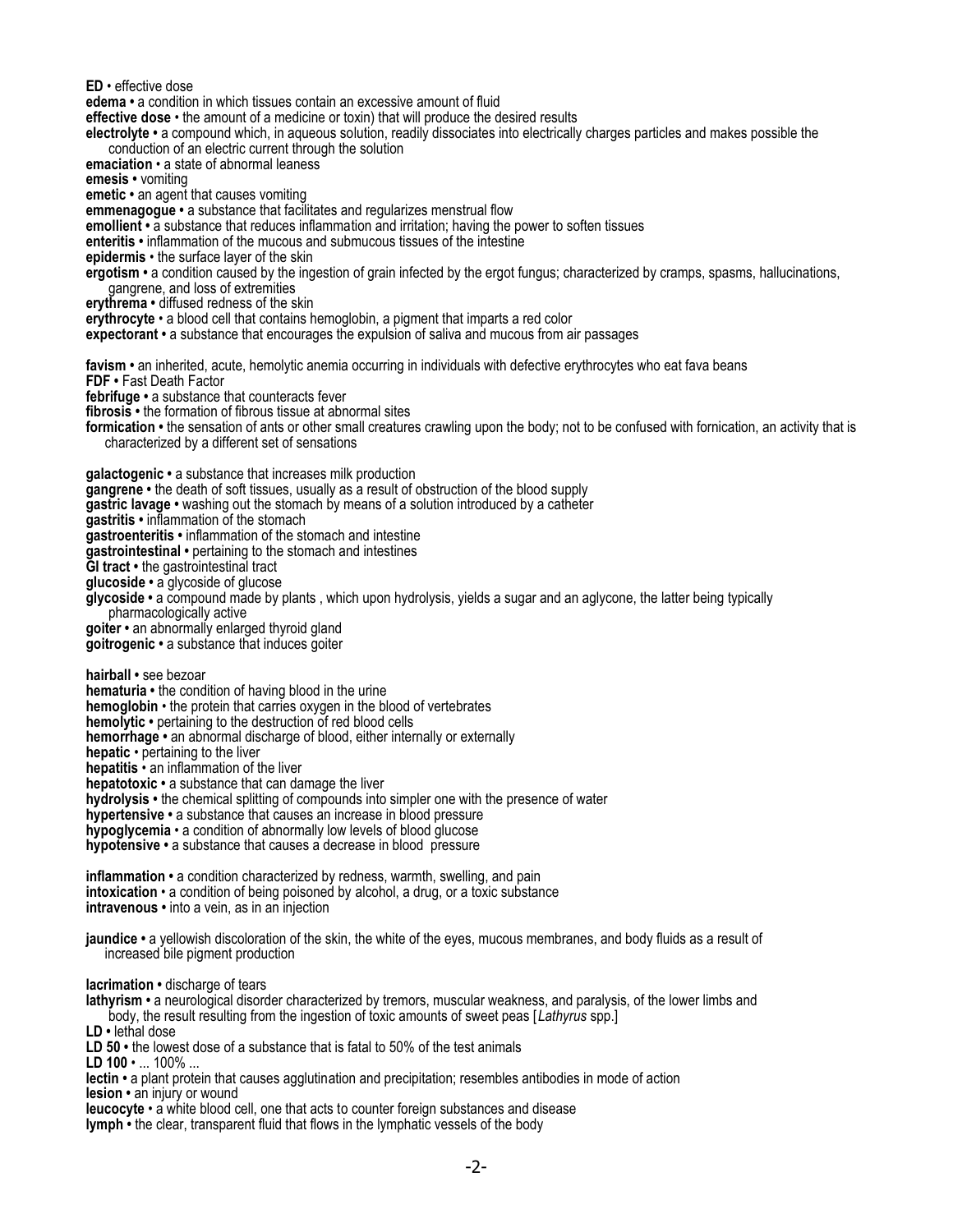**ED** • effective dose

**edema •** a condition in which tissues contain an excessive amount of fluid

**effective dose** • the amount of a medicine or toxin) that will produce the desired results

**electrolyte •** a compound which, in aqueous solution, readily dissociates into electrically charges particles and makes possible the conduction of an electric current through the solution

**emaciation** • a state of abnormal leaness

**emesis •** vomiting

**emetic •** an agent that causes vomiting

**emmenagogue •** a substance that facilitates and regularizes menstrual flow

**emollient •** a substance that reduces inflammation and irritation; having the power to soften tissues

**enteritis •** inflammation of the mucous and submucous tissues of the intestine

**epidermis** • the surface layer of the skin

**ergotism •** a condition caused by the ingestion of grain infected by the ergot fungus; characterized by cramps, spasms, hallucinations, gangrene, and loss of extremities

**erythrema •** diffused redness of the skin

**erythrocyte** • a blood cell that contains hemoglobin, a pigment that imparts a red color

**expectorant •** a substance that encourages the expulsion of saliva and mucous from air passages

**favism •** an inherited, acute, hemolytic anemia occurring in individuals with defective erythrocytes who eat fava beans

**FDF •** Fast Death Factor

**febrifuge •** a substance that counteracts fever

**fibrosis •** the formation of fibrous tissue at abnormal sites

**formication •** the sensation of ants or other small creatures crawling upon the body; not to be confused with fornication, an activity that is characterized by a different set of sensations

**galactogenic •** a substance that increases milk production

**gangrene •** the death of soft tissues, usually as a result of obstruction of the blood supply

**gastric lavage •** washing out the stomach by means of a solution introduced by a catheter

**gastritis •** inflammation of the stomach

**gastroenteritis •** inflammation of the stomach and intestine

**gastrointestinal •** pertaining to the stomach and intestines

**GI tract •** the gastrointestinal tract

**glucoside •** a glycoside of glucose

**glycoside •** a compound made by plants , which upon hydrolysis, yields a sugar and an aglycone, the latter being typically pharmacologically active

**goiter •** an abnormally enlarged thyroid gland

**goitrogenic •** a substance that induces goiter

**hairball •** see bezoar

**hematuria •** the condition of having blood in the urine

**hemoglobin** • the protein that carries oxygen in the blood of vertebrates

**hemolytic •** pertaining to the destruction of red blood cells

**hemorrhage •** an abnormal discharge of blood, either internally or externally

**hepatic** • pertaining to the liver

**hepatitis** • an inflammation of the liver

**hepatotoxic •** a substance that can damage the liver

**hydrolysis •** the chemical splitting of compounds into simpler one with the presence of water

**hypertensive •** a substance that causes an increase in blood pressure

**hypoglycemia** • a condition of abnormally low levels of blood glucose

**hypotensive •** a substance that causes a decrease in blood pressure

**inflammation •** a condition characterized by redness, warmth, swelling, and pain **intoxication** • a condition of being poisoned by alcohol, a drug, or a toxic substance **intravenous •** into a vein, as in an injection

**jaundice •** a yellowish discoloration of the skin, the white of the eyes, mucous membranes, and body fluids as a result of increased bile pigment production

**lacrimation •** discharge of tears

**lathyrism •** a neurological disorder characterized by tremors, muscular weakness, and paralysis, of the lower limbs and body, the result resulting from the ingestion of toxic amounts of sweet peas [*Lathyrus* spp.]

**LD •** lethal dose

**LD 50 •** the lowest dose of a substance that is fatal to 50% of the test animals

**LD 100** • ... 100% ...

**lectin •** a plant protein that causes agglutination and precipitation; resembles antibodies in mode of action

**lesion •** an injury or wound

**leucocyte** • a white blood cell, one that acts to counter foreign substances and disease **lymph •** the clear, transparent fluid that flows in the lymphatic vessels of the body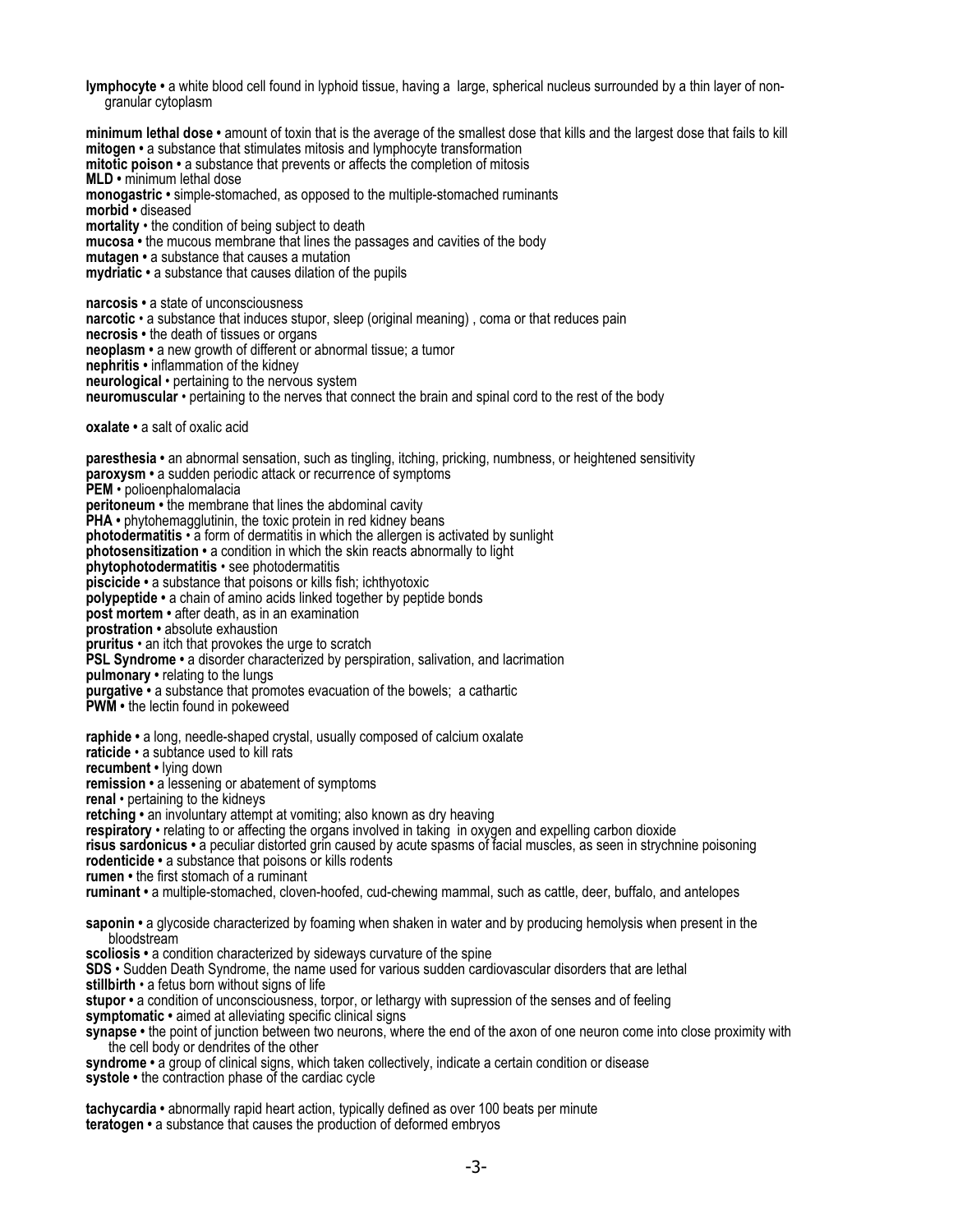**lymphocyte •** a white blood cell found in lyphoid tissue, having a large, spherical nucleus surrounded by a thin layer of nongranular cytoplasm

**minimum lethal dose •** amount of toxin that is the average of the smallest dose that kills and the largest dose that fails to kill **mitogen •** a substance that stimulates mitosis and lymphocyte transformation **mitotic poison •** a substance that prevents or affects the completion of mitosis **MLD •** minimum lethal dose **monogastric •** simple-stomached, as opposed to the multiple-stomached ruminants **morbid •** diseased **mortality** • the condition of being subject to death **mucosa •** the mucous membrane that lines the passages and cavities of the body **mutagen •** a substance that causes a mutation **mydriatic •** a substance that causes dilation of the pupils **narcosis •** a state of unconsciousness **narcotic** • a substance that induces stupor, sleep (original meaning) , coma or that reduces pain **necrosis •** the death of tissues or organs **neoplasm •** a new growth of different or abnormal tissue; a tumor **nephritis •** inflammation of the kidney **neurological** • pertaining to the nervous system **neuromuscular** • pertaining to the nerves that connect the brain and spinal cord to the rest of the body **oxalate •** a salt of oxalic acid **paresthesia •** an abnormal sensation, such as tingling, itching, pricking, numbness, or heightened sensitivity **paroxysm •** a sudden periodic attack or recurrence of symptoms **PEM** • polioenphalomalacia **peritoneum •** the membrane that lines the abdominal cavity **PHA •** phytohemagglutinin, the toxic protein in red kidney beans **photodermatitis** • a form of dermatitis in which the allergen is activated by sunlight **photosensitization •** a condition in which the skin reacts abnormally to light **phytophotodermatitis** • see photodermatitis **piscicide •** a substance that poisons or kills fish; ichthyotoxic **polypeptide •** a chain of amino acids linked together by peptide bonds **post mortem •** after death, as in an examination **prostration •** absolute exhaustion **pruritus** • an itch that provokes the urge to scratch **PSL Syndrome •** a disorder characterized by perspiration, salivation, and lacrimation **pulmonary •** relating to the lungs **purgative •** a substance that promotes evacuation of the bowels; a cathartic **PWM •** the lectin found in pokeweed **raphide •** a long, needle-shaped crystal, usually composed of calcium oxalate **raticide** • a subtance used to kill rats **recumbent •** lying down **remission •** a lessening or abatement of symptoms **renal** • pertaining to the kidneys **retching •** an involuntary attempt at vomiting; also known as dry heaving **respiratory** • relating to or affecting the organs involved in taking in oxygen and expelling carbon dioxide **risus sardonicus •** a peculiar distorted grin caused by acute spasms of facial muscles, as seen in strychnine poisoning **rodenticide •** a substance that poisons or kills rodents **rumen •** the first stomach of a ruminant **ruminant •** a multiple-stomached, cloven-hoofed, cud-chewing mammal, such as cattle, deer, buffalo, and antelopes **saponin •** a glycoside characterized by foaming when shaken in water and by producing hemolysis when present in the bloodstream **scoliosis •** a condition characterized by sideways curvature of the spine **SDS** • Sudden Death Syndrome, the name used for various sudden cardiovascular disorders that are lethal **stillbirth** • a fetus born without signs of life **stupor •** a condition of unconsciousness, torpor, or lethargy with supression of the senses and of feeling **symptomatic •** aimed at alleviating specific clinical signs **synapse •** the point of junction between two neurons, where the end of the axon of one neuron come into close proximity with the cell body or dendrites of the other **syndrome •** a group of clinical signs, which taken collectively, indicate a certain condition or disease **systole •** the contraction phase of the cardiac cycle **tachycardia •** abnormally rapid heart action, typically defined as over 100 beats per minute

**teratogen •** a substance that causes the production of deformed embryos